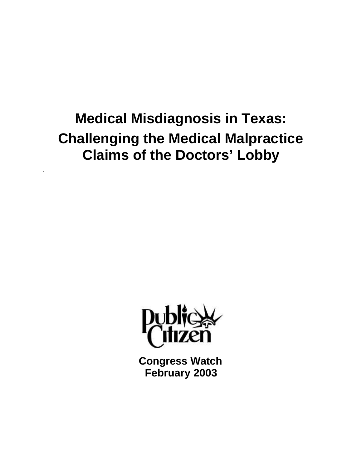# **Medical Misdiagnosis in Texas: Challenging the Medical Malpractice Claims of the Doctors' Lobby**

`



**Congress Watch February 2003**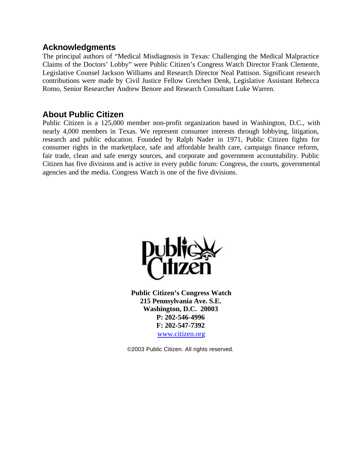### **Acknowledgments**

The principal authors of "Medical Misdiagnosis in Texas: Challenging the Medical Malpractice Claims of the Doctors' Lobby" were Public Citizen's Congress Watch Director Frank Clemente, Legislative Counsel Jackson Williams and Research Director Neal Pattison. Significant research contributions were made by Civil Justice Fellow Gretchen Denk, Legislative Assistant Rebecca Romo, Senior Researcher Andrew Benore and Research Consultant Luke Warren.

### **About Public Citizen**

Public Citizen is a 125,000 member non-profit organization based in Washington, D.C., with nearly 4,000 members in Texas. We represent consumer interests through lobbying, litigation, research and public education. Founded by Ralph Nader in 1971, Public Citizen fights for consumer rights in the marketplace, safe and affordable health care, campaign finance reform, fair trade, clean and safe energy sources, and corporate and government accountability. Public Citizen has five divisions and is active in every public forum: Congress, the courts, governmental agencies and the media. Congress Watch is one of the five divisions.



**Public Citizen's Congress Watch 215 Pennsylvania Ave. S.E. Washington, D.C. 20003 P: 202-546-4996 F: 202-547-7392** www.citizen.org

©2003 Public Citizen. All rights reserved.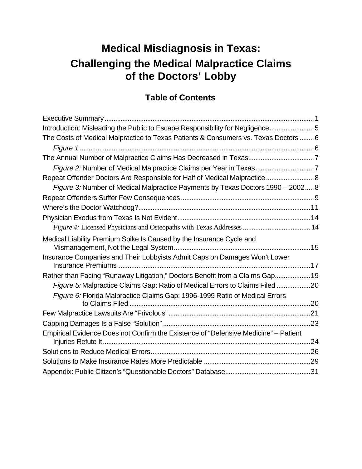## **Medical Misdiagnosis in Texas: Challenging the Medical Malpractice Claims of the Doctors' Lobby**

### **Table of Contents**

| Introduction: Misleading the Public to Escape Responsibility for Negligence 5       |  |
|-------------------------------------------------------------------------------------|--|
| The Costs of Medical Malpractice to Texas Patients & Consumers vs. Texas Doctors  6 |  |
|                                                                                     |  |
|                                                                                     |  |
|                                                                                     |  |
| Repeat Offender Doctors Are Responsible for Half of Medical Malpractice  8          |  |
| Figure 3: Number of Medical Malpractice Payments by Texas Doctors 1990 - 2002 8     |  |
|                                                                                     |  |
|                                                                                     |  |
|                                                                                     |  |
|                                                                                     |  |
| Medical Liability Premium Spike Is Caused by the Insurance Cycle and                |  |
|                                                                                     |  |
| Insurance Companies and Their Lobbyists Admit Caps on Damages Won't Lower           |  |
| Rather than Facing "Runaway Litigation," Doctors Benefit from a Claims Gap 19       |  |
| Figure 5: Malpractice Claims Gap: Ratio of Medical Errors to Claims Filed 20        |  |
| Figure 6: Florida Malpractice Claims Gap: 1996-1999 Ratio of Medical Errors         |  |
|                                                                                     |  |
|                                                                                     |  |
|                                                                                     |  |
| Empirical Evidence Does not Confirm the Existence of "Defensive Medicine" - Patient |  |
|                                                                                     |  |
|                                                                                     |  |
|                                                                                     |  |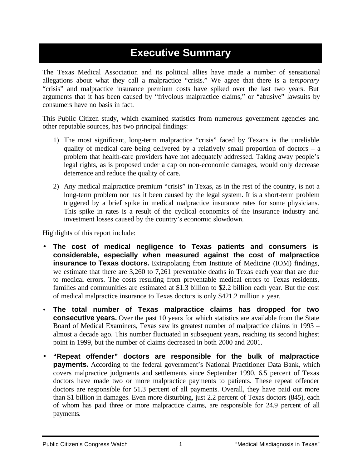## **Executive Summary**

The Texas Medical Association and its political allies have made a number of sensational allegations about what they call a malpractice "crisis." We agree that there is a *temporary* "crisis" and malpractice insurance premium costs have spiked over the last two years. But arguments that it has been caused by "frivolous malpractice claims," or "abusive" lawsuits by consumers have no basis in fact.

This Public Citizen study, which examined statistics from numerous government agencies and other reputable sources, has two principal findings:

- 1) The most significant, long-term malpractice "crisis" faced by Texans is the unreliable quality of medical care being delivered by a relatively small proportion of doctors – a problem that health-care providers have not adequately addressed. Taking away people's legal rights, as is proposed under a cap on non-economic damages, would only decrease deterrence and reduce the quality of care.
- 2) Any medical malpractice premium "crisis" in Texas, as in the rest of the country, is not a long-term problem nor has it been caused by the legal system. It is a short-term problem triggered by a brief spike in medical malpractice insurance rates for some physicians. This spike in rates is a result of the cyclical economics of the insurance industry and investment losses caused by the country's economic slowdown.

Highlights of this report include:

- **The cost of medical negligence to Texas patients and consumers is considerable, especially when measured against the cost of malpractice insurance to Texas doctors.** Extrapolating from Institute of Medicine (IOM) findings, we estimate that there are 3,260 to 7,261 preventable deaths in Texas each year that are due to medical errors. The costs resulting from preventable medical errors to Texas residents, families and communities are estimated at \$1.3 billion to \$2.2 billion each year. But the cost of medical malpractice insurance to Texas doctors is only \$421.2 million a year.
- **The total number of Texas malpractice claims has dropped for two consecutive years.** Over the past 10 years for which statistics are available from the State Board of Medical Examiners, Texas saw its greatest number of malpractice claims in 1993 – almost a decade ago. This number fluctuated in subsequent years, reaching its second highest point in 1999, but the number of claims decreased in both 2000 and 2001.
- **"Repeat offender" doctors are responsible for the bulk of malpractice payments.** According to the federal government's National Practitioner Data Bank, which covers malpractice judgments and settlements since September 1990, 6.5 percent of Texas doctors have made two or more malpractice payments to patients. These repeat offender doctors are responsible for 51.3 percent of all payments. Overall, they have paid out more than \$1 billion in damages. Even more disturbing, just 2.2 percent of Texas doctors (845), each of whom has paid three or more malpractice claims, are responsible for 24.9 percent of all payments.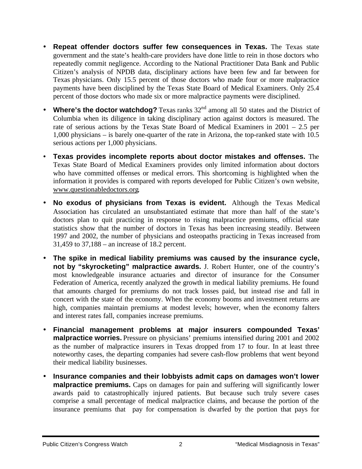- **Repeat offender doctors suffer few consequences in Texas.** The Texas state government and the state's health-care providers have done little to rein in those doctors who repeatedly commit negligence. According to the National Practitioner Data Bank and Public Citizen's analysis of NPDB data, disciplinary actions have been few and far between for Texas physicians. Only 15.5 percent of those doctors who made four or more malpractice payments have been disciplined by the Texas State Board of Medical Examiners. Only 25.4 percent of those doctors who made six or more malpractice payments were disciplined.
- **Where's the doctor watchdog?** Texas ranks 32<sup>nd</sup> among all 50 states and the District of Columbia when its diligence in taking disciplinary action against doctors is measured. The rate of serious actions by the Texas State Board of Medical Examiners in 2001 – 2.5 per 1,000 physicians – is barely one-quarter of the rate in Arizona, the top-ranked state with 10.5 serious actions per 1,000 physicians.
- **Texas provides incomplete reports about doctor mistakes and offenses.** The Texas State Board of Medical Examiners provides only limited information about doctors who have committed offenses or medical errors. This shortcoming is highlighted when the information it provides is compared with reports developed for Public Citizen's own website, www.questionabledoctors.org.
- **No exodus of physicians from Texas is evident.** Although the Texas Medical Association has circulated an unsubstantiated estimate that more than half of the state's doctors plan to quit practicing in response to rising malpractice premiums, official state statistics show that the number of doctors in Texas has been increasing steadily. Between 1997 and 2002, the number of physicians and osteopaths practicing in Texas increased from 31,459 to 37,188 – an increase of 18.2 percent.
- **The spike in medical liability premiums was caused by the insurance cycle, not by "skyrocketing" malpractice awards.** J. Robert Hunter, one of the country's most knowledgeable insurance actuaries and director of insurance for the Consumer Federation of America, recently analyzed the growth in medical liability premiums. He found that amounts charged for premiums do not track losses paid, but instead rise and fall in concert with the state of the economy. When the economy booms and investment returns are high, companies maintain premiums at modest levels; however, when the economy falters and interest rates fall, companies increase premiums.
- **Financial management problems at major insurers compounded Texas' malpractice worries.** Pressure on physicians' premiums intensified during 2001 and 2002 as the number of malpractice insurers in Texas dropped from 17 to four. In at least three noteworthy cases, the departing companies had severe cash-flow problems that went beyond their medical liability businesses.
- **Insurance companies and their lobbyists admit caps on damages won't lower malpractice premiums.** Caps on damages for pain and suffering will significantly lower awards paid to catastrophically injured patients. But because such truly severe cases comprise a small percentage of medical malpractice claims, and because the portion of the insurance premiums that pay for compensation is dwarfed by the portion that pays for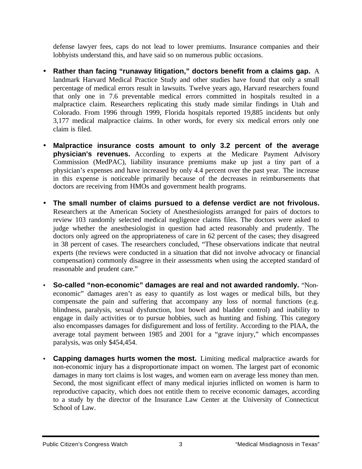defense lawyer fees, caps do not lead to lower premiums. Insurance companies and their lobbyists understand this, and have said so on numerous public occasions.

- **Rather than facing "runaway litigation," doctors benefit from a claims gap.** A landmark Harvard Medical Practice Study and other studies have found that only a small percentage of medical errors result in lawsuits. Twelve years ago, Harvard researchers found that only one in 7.6 preventable medical errors committed in hospitals resulted in a malpractice claim. Researchers replicating this study made similar findings in Utah and Colorado. From 1996 through 1999, Florida hospitals reported 19,885 incidents but only 3,177 medical malpractice claims. In other words, for every six medical errors only one claim is filed.
- **Malpractice insurance costs amount to only 3.2 percent of the average physician's revenues.** According to experts at the Medicare Payment Advisory Commission (MedPAC), liability insurance premiums make up just a tiny part of a physician's expenses and have increased by only 4.4 percent over the past year. The increase in this expense is noticeable primarily because of the decreases in reimbursements that doctors are receiving from HMOs and government health programs.
- **The small number of claims pursued to a defense verdict are not frivolous.** Researchers at the American Society of Anesthesiologists arranged for pairs of doctors to review 103 randomly selected medical negligence claims files. The doctors were asked to judge whether the anesthesiologist in question had acted reasonably and prudently. The doctors only agreed on the appropriateness of care in 62 percent of the cases; they disagreed in 38 percent of cases. The researchers concluded, "These observations indicate that neutral experts (the reviews were conducted in a situation that did not involve advocacy or financial compensation) commonly disagree in their assessments when using the accepted standard of reasonable and prudent care."
- **So-called "non-economic" damages are real and not awarded randomly.** "Noneconomic" damages aren't as easy to quantify as lost wages or medical bills, but they compensate the pain and suffering that accompany any loss of normal functions (e.g. blindness, paralysis, sexual dysfunction, lost bowel and bladder control) and inability to engage in daily activities or to pursue hobbies, such as hunting and fishing. This category also encompasses damages for disfigurement and loss of fertility. According to the PIAA, the average total payment between 1985 and 2001 for a "grave injury," which encompasses paralysis, was only \$454,454.
- **Capping damages hurts women the most.** Limiting medical malpractice awards for non-economic injury has a disproportionate impact on women. The largest part of economic damages in many tort claims is lost wages, and women earn on average less money than men. Second, the most significant effect of many medical injuries inflicted on women is harm to reproductive capacity, which does not entitle them to receive economic damages, according to a study by the director of the Insurance Law Center at the University of Connecticut School of Law.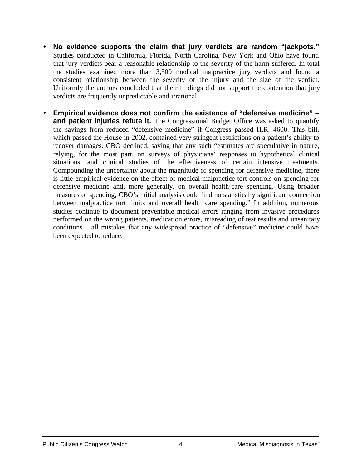- **No evidence supports the claim that jury verdicts are random "jackpots."** Studies conducted in California, Florida, North Carolina, New York and Ohio have found that jury verdicts bear a reasonable relationship to the severity of the harm suffered. In total the studies examined more than 3,500 medical malpractice jury verdicts and found a consistent relationship between the severity of the injury and the size of the verdict. Uniformly the authors concluded that their findings did not support the contention that jury verdicts are frequently unpredictable and irrational.
- **Empirical evidence does not confirm the existence of "defensive medicine" – and patient injuries refute it.** The Congressional Budget Office was asked to quantify the savings from reduced "defensive medicine" if Congress passed H.R. 4600. This bill, which passed the House in 2002, contained very stringent restrictions on a patient's ability to recover damages. CBO declined, saying that any such "estimates are speculative in nature, relying, for the most part, on surveys of physicians' responses to hypothetical clinical situations, and clinical studies of the effectiveness of certain intensive treatments. Compounding the uncertainty about the magnitude of spending for defensive medicine, there is little empirical evidence on the effect of medical malpractice tort controls on spending for defensive medicine and, more generally, on overall health-care spending. Using broader measures of spending, CBO's initial analysis could find no statistically significant connection between malpractice tort limits and overall health care spending." In addition, numerous studies continue to document preventable medical errors ranging from invasive procedures performed on the wrong patients, medication errors, misreading of test results and unsanitary conditions – all mistakes that any widespread practice of "defensive" medicine could have been expected to reduce.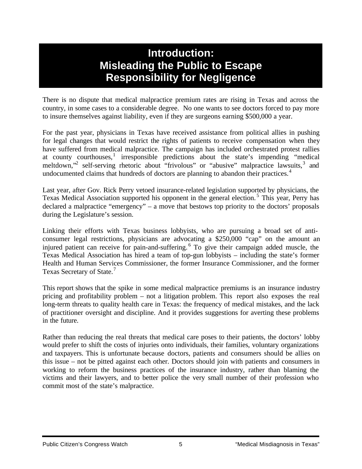## **Introduction: Misleading the Public to Escape Responsibility for Negligence**

There is no dispute that medical malpractice premium rates are rising in Texas and across the country, in some cases to a considerable degree. No one wants to see doctors forced to pay more to insure themselves against liability, even if they are surgeons earning \$500,000 a year.

For the past year, physicians in Texas have received assistance from political allies in pushing for legal changes that would restrict the rights of patients to receive compensation when they have suffered from medical malpractice. The campaign has included orchestrated protest rallies at county courthouses,<sup>1</sup> irresponsible predictions about the state's impending "medical meltdown,"<sup>2</sup> self-serving rhetoric about "frivolous" or "abusive" malpractice lawsuits,<sup>3</sup> and undocumented claims that hundreds of doctors are planning to abandon their practices.<sup>4</sup>

Last year, after Gov. Rick Perry vetoed insurance-related legislation supported by physicians, the Texas Medical Association supported his opponent in the general election.<sup>5</sup> This year, Perry has declared a malpractice "emergency" – a move that bestows top priority to the doctors' proposals during the Legislature's session.

Linking their efforts with Texas business lobbyists, who are pursuing a broad set of anticonsumer legal restrictions, physicians are advocating a \$250,000 "cap" on the amount an injured patient can receive for pain-and-suffering. <sup>6</sup> To give their campaign added muscle, the Texas Medical Association has hired a team of top-gun lobbyists – including the state's former Health and Human Services Commissioner, the former Insurance Commissioner, and the former Texas Secretary of State.<sup>7</sup>

This report shows that the spike in some medical malpractice premiums is an insurance industry pricing and profitability problem – not a litigation problem. This report also exposes the real long-term threats to quality health care in Texas: the frequency of medical mistakes, and the lack of practitioner oversight and discipline. And it provides suggestions for averting these problems in the future.

Rather than reducing the real threats that medical care poses to their patients, the doctors' lobby would prefer to shift the costs of injuries onto individuals, their families, voluntary organizations and taxpayers. This is unfortunate because doctors, patients and consumers should be allies on this issue – not be pitted against each other. Doctors should join with patients and consumers in working to reform the business practices of the insurance industry, rather than blaming the victims and their lawyers, and to better police the very small number of their profession who commit most of the state's malpractice.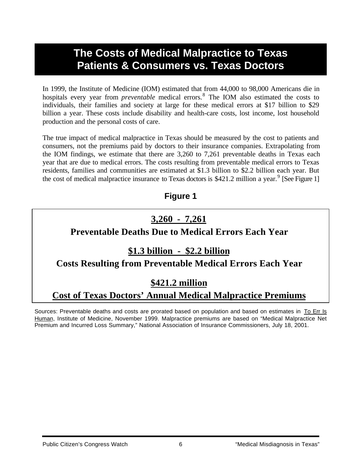## **The Costs of Medical Malpractice to Texas Patients & Consumers vs. Texas Doctors**

In 1999, the Institute of Medicine (IOM) estimated that from 44,000 to 98,000 Americans die in hospitals every year from *preventable* medical errors.<sup>8</sup> The IOM also estimated the costs to individuals, their families and society at large for these medical errors at \$17 billion to \$29 billion a year. These costs include disability and health-care costs, lost income, lost household production and the personal costs of care.

The true impact of medical malpractice in Texas should be measured by the cost to patients and consumers, not the premiums paid by doctors to their insurance companies. Extrapolating from the IOM findings, we estimate that there are 3,260 to 7,261 preventable deaths in Texas each year that are due to medical errors. The costs resulting from preventable medical errors to Texas residents, families and communities are estimated at \$1.3 billion to \$2.2 billion each year. But the cost of medical malpractice insurance to Texas doctors is \$421.2 million a year.<sup>9</sup> [See Figure 1]

### **Figure 1**

## **3,260 - 7,261**

### **Preventable Deaths Due to Medical Errors Each Year**

### **\$1.3 billion - \$2.2 billion**

### **Costs Resulting from Preventable Medical Errors Each Year**

### **\$421.2 million**

## **Cost of Texas Doctors' Annual Medical Malpractice Premiums**

Sources: Preventable deaths and costs are prorated based on population and based on estimates in To Err Is Human, Institute of Medicine, November 1999. Malpractice premiums are based on "Medical Malpractice Net Premium and Incurred Loss Summary," National Association of Insurance Commissioners, July 18, 2001.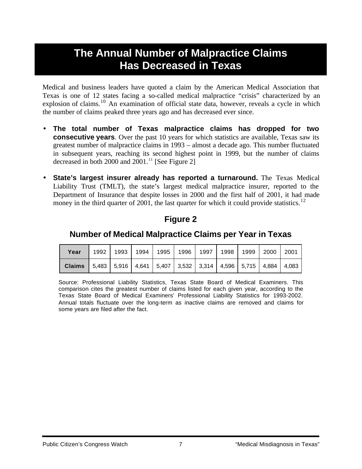## **The Annual Number of Malpractice Claims Has Decreased in Texas**

Medical and business leaders have quoted a claim by the American Medical Association that Texas is one of 12 states facing a so-called medical malpractice "crisis" characterized by an explosion of claims.<sup>10</sup> An examination of official state data, however, reveals a cycle in which the number of claims peaked three years ago and has decreased ever since.

- **The total number of Texas malpractice claims has dropped for two consecutive years**. Over the past 10 years for which statistics are available, Texas saw its greatest number of malpractice claims in 1993 – almost a decade ago. This number fluctuated in subsequent years, reaching its second highest point in 1999, but the number of claims decreased in both 2000 and  $2001$ .<sup>11</sup> [See Figure 2]
- **State's largest insurer already has reported a turnaround.** The Texas Medical Liability Trust (TMLT), the state's largest medical malpractice insurer, reported to the Department of Insurance that despite losses in 2000 and the first half of 2001, it had made money in the third quarter of 2001, the last quarter for which it could provide statistics.<sup>12</sup>

### **Figure 2**

### **Number of Medical Malpractice Claims per Year in Texas**

| Year                                                                                          | 1992   1993   1994   1995   1996   1997   1998 |  |  | 1999 2000 | 2001 |
|-----------------------------------------------------------------------------------------------|------------------------------------------------|--|--|-----------|------|
| <b>Claims</b>   5,483   5,916   4,641   5,407   3,532   3,314   4,596   5,715   4,884   4,083 |                                                |  |  |           |      |

Source: Professional Liability Statistics, Texas State Board of Medical Examiners. This comparison cites the greatest number of claims listed for each given year, according to the Texas State Board of Medical Examiners' Professional Liability Statistics for 1993-2002. Annual totals fluctuate over the long-term as inactive claims are removed and claims for some years are filed after the fact.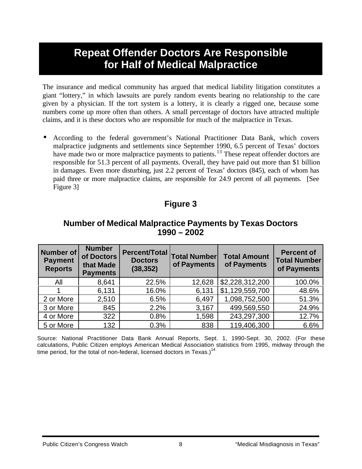## **Repeat Offender Doctors Are Responsible for Half of Medical Malpractice**

The insurance and medical community has argued that medical liability litigation constitutes a giant "lottery," in which lawsuits are purely random events bearing no relationship to the care given by a physician. If the tort system is a lottery, it is clearly a rigged one, because some numbers come up more often than others. A small percentage of doctors have attracted multiple claims, and it is these doctors who are responsible for much of the malpractice in Texas.

• According to the federal government's National Practitioner Data Bank, which covers malpractice judgments and settlements since September 1990, 6.5 percent of Texas' doctors have made two or more malpractice payments to patients.<sup>13</sup> These repeat offender doctors are responsible for 51.3 percent of all payments. Overall, they have paid out more than \$1 billion in damages. Even more disturbing, just 2.2 percent of Texas' doctors (845), each of whom has paid three or more malpractice claims, are responsible for 24.9 percent of all payments. [See Figure 3]

### **Figure 3**

### **Number of Medical Malpractice Payments by Texas Doctors 1990 – 2002**

| <b>Number of</b><br><b>Payment</b><br><b>Reports</b> | <b>Number</b><br>of Doctors<br>that Made<br><b>Payments</b> | <b>Percent/Total</b><br><b>Doctors</b><br>(38, 352) | <b>Total Number</b><br>of Payments | <b>Total Amount</b><br>of Payments | <b>Percent of</b><br><b>Total Number</b><br>of Payments |  |
|------------------------------------------------------|-------------------------------------------------------------|-----------------------------------------------------|------------------------------------|------------------------------------|---------------------------------------------------------|--|
| All                                                  | 8,641                                                       | 22.5%                                               | 12,628                             | \$2,228,312,200                    | 100.0%                                                  |  |
|                                                      | 6,131                                                       | 16.0%                                               | 6,131                              | \$1,129,559,700                    | 48.6%                                                   |  |
| 2 or More                                            | 2,510                                                       | 6.5%                                                | 6,497                              | 1,098,752,500                      | 51.3%                                                   |  |
| 3 or More                                            | 845                                                         | 2.2%                                                | 3,167                              | 499,569,550                        | 24.9%                                                   |  |
| 4 or More                                            | 322                                                         | 0.8%                                                | 1,598                              | 243,297,300                        | 12.7%                                                   |  |
| 5 or More                                            | 132                                                         | 0.3%                                                | 838                                | 119,406,300                        | 6.6%                                                    |  |

Source: National Practitioner Data Bank Annual Reports, Sept. 1, 1990-Sept. 30, 2002. (For these calculations, Public Citizen employs American Medical Association statistics from 1995, midway through the time period, for the total of non-federal, licensed doctors in Texas.)<sup>14</sup>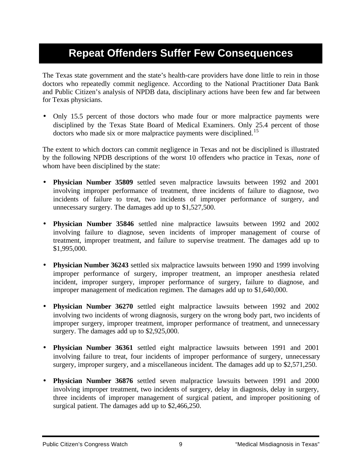## **Repeat Offenders Suffer Few Consequences**

The Texas state government and the state's health-care providers have done little to rein in those doctors who repeatedly commit negligence. According to the National Practitioner Data Bank and Public Citizen's analysis of NPDB data, disciplinary actions have been few and far between for Texas physicians.

• Only 15.5 percent of those doctors who made four or more malpractice payments were disciplined by the Texas State Board of Medical Examiners. Only 25.4 percent of those doctors who made six or more malpractice payments were disciplined.<sup>15</sup>

The extent to which doctors can commit negligence in Texas and not be disciplined is illustrated by the following NPDB descriptions of the worst 10 offenders who practice in Texas, *none* of whom have been disciplined by the state:

- **Physician Number 35809** settled seven malpractice lawsuits between 1992 and 2001 involving improper performance of treatment, three incidents of failure to diagnose, two incidents of failure to treat, two incidents of improper performance of surgery, and unnecessary surgery. The damages add up to \$1,527,500.
- **Physician Number 35846** settled nine malpractice lawsuits between 1992 and 2002 involving failure to diagnose, seven incidents of improper management of course of treatment, improper treatment, and failure to supervise treatment. The damages add up to \$1,995,000.
- **Physician Number 36243** settled six malpractice lawsuits between 1990 and 1999 involving improper performance of surgery, improper treatment, an improper anesthesia related incident, improper surgery, improper performance of surgery, failure to diagnose, and improper management of medication regimen. The damages add up to \$1,640,000.
- **Physician Number 36270** settled eight malpractice lawsuits between 1992 and 2002 involving two incidents of wrong diagnosis, surgery on the wrong body part, two incidents of improper surgery, improper treatment, improper performance of treatment, and unnecessary surgery. The damages add up to \$2,925,000.
- **Physician Number 36361** settled eight malpractice lawsuits between 1991 and 2001 involving failure to treat, four incidents of improper performance of surgery, unnecessary surgery, improper surgery, and a miscellaneous incident. The damages add up to \$2,571,250.
- **Physician Number 36876** settled seven malpractice lawsuits between 1991 and 2000 involving improper treatment, two incidents of surgery, delay in diagnosis, delay in surgery, three incidents of improper management of surgical patient, and improper positioning of surgical patient. The damages add up to \$2,466,250.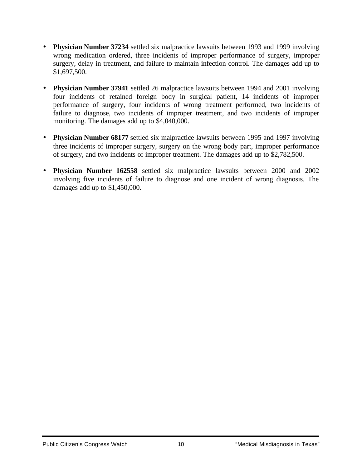- **Physician Number 37234** settled six malpractice lawsuits between 1993 and 1999 involving wrong medication ordered, three incidents of improper performance of surgery, improper surgery, delay in treatment, and failure to maintain infection control. The damages add up to \$1,697,500.
- **Physician Number 37941** settled 26 malpractice lawsuits between 1994 and 2001 involving four incidents of retained foreign body in surgical patient, 14 incidents of improper performance of surgery, four incidents of wrong treatment performed, two incidents of failure to diagnose, two incidents of improper treatment, and two incidents of improper monitoring. The damages add up to \$4,040,000.
- **Physician Number 68177** settled six malpractice lawsuits between 1995 and 1997 involving three incidents of improper surgery, surgery on the wrong body part, improper performance of surgery, and two incidents of improper treatment. The damages add up to \$2,782,500.
- **Physician Number 162558** settled six malpractice lawsuits between 2000 and 2002 involving five incidents of failure to diagnose and one incident of wrong diagnosis. The damages add up to \$1,450,000.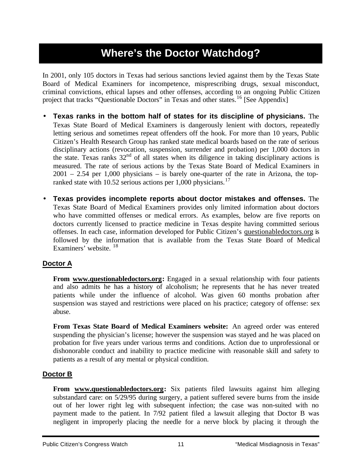## **Where's the Doctor Watchdog?**

In 2001, only 105 doctors in Texas had serious sanctions levied against them by the Texas State Board of Medical Examiners for incompetence, misprescribing drugs, sexual misconduct, criminal convictions, ethical lapses and other offenses, according to an ongoing Public Citizen project that tracks "Questionable Doctors" in Texas and other states.<sup>16</sup> [See Appendix]

- **Texas ranks in the bottom half of states for its discipline of physicians.** The Texas State Board of Medical Examiners is dangerously lenient with doctors, repeatedly letting serious and sometimes repeat offenders off the hook. For more than 10 years, Public Citizen's Health Research Group has ranked state medical boards based on the rate of serious disciplinary actions (revocation, suspension, surrender and probation) per 1,000 doctors in the state. Texas ranks 32<sup>nd</sup> of all states when its diligence in taking disciplinary actions is measured. The rate of serious actions by the Texas State Board of Medical Examiners in 2001 – 2.54 per 1,000 physicians – is barely one-quarter of the rate in Arizona, the topranked state with 10.52 serious actions per 1,000 physicians.<sup>17</sup>
- **Texas provides incomplete reports about doctor mistakes and offenses.** The Texas State Board of Medical Examiners provides only limited information about doctors who have committed offenses or medical errors. As examples, below are five reports on doctors currently licensed to practice medicine in Texas despite having committed serious offenses. In each case, information developed for Public Citizen's questionabledoctors.org is followed by the information that is available from the Texas State Board of Medical Examiners' website. <sup>18</sup>

### **Doctor A**

**From www.questionabledoctors.org:** Engaged in a sexual relationship with four patients and also admits he has a history of alcoholism; he represents that he has never treated patients while under the influence of alcohol. Was given 60 months probation after suspension was stayed and restrictions were placed on his practice; category of offense: sex abuse.

**From Texas State Board of Medical Examiners website:** An agreed order was entered suspending the physician's license; however the suspension was stayed and he was placed on probation for five years under various terms and conditions. Action due to unprofessional or dishonorable conduct and inability to practice medicine with reasonable skill and safety to patients as a result of any mental or physical condition.

### **Doctor B**

**From www.questionabledoctors.org:** Six patients filed lawsuits against him alleging substandard care: on 5/29/95 during surgery, a patient suffered severe burns from the inside out of her lower right leg with subsequent infection; the case was non-suited with no payment made to the patient. In 7/92 patient filed a lawsuit alleging that Doctor B was negligent in improperly placing the needle for a nerve block by placing it through the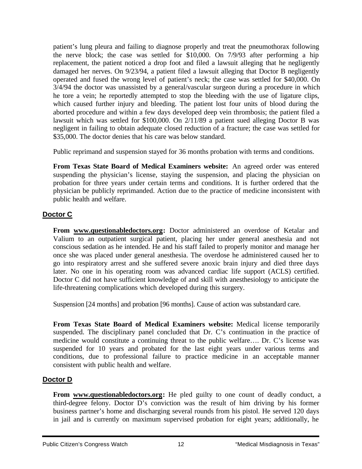patient's lung pleura and failing to diagnose properly and treat the pneumothorax following the nerve block; the case was settled for \$10,000. On 7/9/93 after performing a hip replacement, the patient noticed a drop foot and filed a lawsuit alleging that he negligently damaged her nerves. On 9/23/94, a patient filed a lawsuit alleging that Doctor B negligently operated and fused the wrong level of patient's neck; the case was settled for \$40,000. On 3/4/94 the doctor was unassisted by a general/vascular surgeon during a procedure in which he tore a vein; he reportedly attempted to stop the bleeding with the use of ligature clips, which caused further injury and bleeding. The patient lost four units of blood during the aborted procedure and within a few days developed deep vein thrombosis; the patient filed a lawsuit which was settled for \$100,000. On 2/11/89 a patient sued alleging Doctor B was negligent in failing to obtain adequate closed reduction of a fracture; the case was settled for \$35,000. The doctor denies that his care was below standard.

Public reprimand and suspension stayed for 36 months probation with terms and conditions.

**From Texas State Board of Medical Examiners website:** An agreed order was entered suspending the physician's license, staying the suspension, and placing the physician on probation for three years under certain terms and conditions. It is further ordered that the physician be publicly reprimanded. Action due to the practice of medicine inconsistent with public health and welfare.

### **Doctor C**

**From www.questionabledoctors.org:** Doctor administered an overdose of Ketalar and Valium to an outpatient surgical patient, placing her under general anesthesia and not conscious sedation as he intended. He and his staff failed to properly monitor and manage her once she was placed under general anesthesia. The overdose he administered caused her to go into respiratory arrest and she suffered severe anoxic brain injury and died three days later. No one in his operating room was advanced cardiac life support (ACLS) certified. Doctor C did not have sufficient knowledge of and skill with anesthesiology to anticipate the life-threatening complications which developed during this surgery.

Suspension [24 months] and probation [96 months]. Cause of action was substandard care.

**From Texas State Board of Medical Examiners website:** Medical license temporarily suspended. The disciplinary panel concluded that Dr. C's continuation in the practice of medicine would constitute a continuing threat to the public welfare…. Dr. C's license was suspended for 10 years and probated for the last eight years under various terms and conditions, due to professional failure to practice medicine in an acceptable manner consistent with public health and welfare.

### **Doctor D**

**From www.questionabledoctors.org:** He pled guilty to one count of deadly conduct, a third-degree felony. Doctor D's conviction was the result of him driving by his former business partner's home and discharging several rounds from his pistol. He served 120 days in jail and is currently on maximum supervised probation for eight years; additionally, he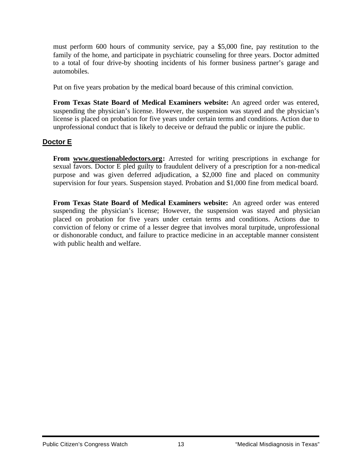must perform 600 hours of community service, pay a \$5,000 fine, pay restitution to the family of the home, and participate in psychiatric counseling for three years. Doctor admitted to a total of four drive-by shooting incidents of his former business partner's garage and automobiles.

Put on five years probation by the medical board because of this criminal conviction.

**From Texas State Board of Medical Examiners website:** An agreed order was entered, suspending the physician's license. However, the suspension was stayed and the physician's license is placed on probation for five years under certain terms and conditions. Action due to unprofessional conduct that is likely to deceive or defraud the public or injure the public.

### **Doctor E**

**From www.questionabledoctors.org:** Arrested for writing prescriptions in exchange for sexual favors. Doctor E pled guilty to fraudulent delivery of a prescription for a non-medical purpose and was given deferred adjudication, a \$2,000 fine and placed on community supervision for four years. Suspension stayed. Probation and \$1,000 fine from medical board.

**From Texas State Board of Medical Examiners website:** An agreed order was entered suspending the physician's license; However, the suspension was stayed and physician placed on probation for five years under certain terms and conditions. Actions due to conviction of felony or crime of a lesser degree that involves moral turpitude, unprofessional or dishonorable conduct, and failure to practice medicine in an acceptable manner consistent with public health and welfare.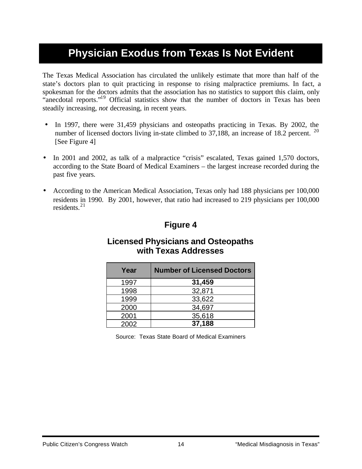## **Physician Exodus from Texas Is Not Evident**

The Texas Medical Association has circulated the unlikely estimate that more than half of the state's doctors plan to quit practicing in response to rising malpractice premiums. In fact, a spokesman for the doctors admits that the association has no statistics to support this claim, only "anecdotal reports."<sup>19</sup> Official statistics show that the number of doctors in Texas has been steadily increasing, *not* decreasing, in recent years.

- In 1997, there were 31,459 physicians and osteopaths practicing in Texas. By 2002, the number of licensed doctors living in-state climbed to  $37,188$ , an increase of 18.2 percent. <sup>20</sup> [See Figure 4]
- In 2001 and 2002, as talk of a malpractice "crisis" escalated, Texas gained 1,570 doctors, according to the State Board of Medical Examiners – the largest increase recorded during the past five years.
- According to the American Medical Association, Texas only had 188 physicians per 100,000 residents in 1990. By 2001, however, that ratio had increased to 219 physicians per 100,000 residents. $^{21}$

### **Figure 4**

### **Licensed Physicians and Osteopaths with Texas Addresses**

| Year | <b>Number of Licensed Doctors</b> |
|------|-----------------------------------|
| 1997 | 31,459                            |
| 1998 | 32,871                            |
| 1999 | 33,622                            |
| 2000 | 34,697                            |
| 2001 | 35,618                            |
| 2002 | 37,188                            |

Source: Texas State Board of Medical Examiners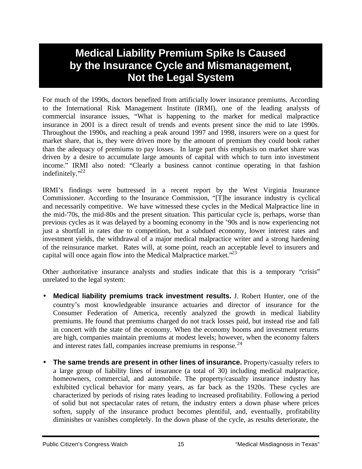## **Medical Liability Premium Spike Is Caused by the Insurance Cycle and Mismanagement, Not the Legal System**

For much of the 1990s, doctors benefited from artificially lower insurance premiums. According to the International Risk Management Institute (IRMI), one of the leading analysts of commercial insurance issues, "What is happening to the market for medical malpractice insurance in 2001 is a direct result of trends and events present since the mid to late 1990s. Throughout the 1990s, and reaching a peak around 1997 and 1998, insurers were on a quest for market share, that is, they were driven more by the amount of premium they could book rather than the adequacy of premiums to pay losses. In large part this emphasis on market share was driven by a desire to accumulate large amounts of capital with which to turn into investment income." IRMI also noted: "Clearly a business cannot continue operating in that fashion indefinitely. $"^{22}$ 

IRMI's findings were buttressed in a recent report by the West Virginia Insurance Commissioner. According to the Insurance Commission, "[T]he insurance industry is cyclical and necessarily competitive. We have witnessed these cycles in the Medical Malpractice line in the mid-'70s, the mid-80s and the present situation. This particular cycle is, perhaps, worse than previous cycles as it was delayed by a booming economy in the '90s and is now experiencing not just a shortfall in rates due to competition, but a subdued economy, lower interest rates and investment yields, the withdrawal of a major medical malpractice writer and a strong hardening of the reinsurance market. Rates will, at some point, reach an acceptable level to insurers and capital will once again flow into the Medical Malpractice market.<sup>223</sup>

Other authoritative insurance analysts and studies indicate that this is a temporary "crisis" unrelated to the legal system:

- **Medical liability premiums track investment results.** J. Robert Hunter, one of the country's most knowledgeable insurance actuaries and director of insurance for the Consumer Federation of America, recently analyzed the growth in medical liability premiums. He found that premiums charged do not track losses paid, but instead rise and fall in concert with the state of the economy. When the economy booms and investment returns are high, companies maintain premiums at modest levels; however, when the economy falters and interest rates fall, companies increase premiums in response. $24$
- **The same trends are present in other lines of insurance.** Property/casualty refers to a large group of liability lines of insurance (a total of 30) including medical malpractice, homeowners, commercial, and automobile. The property/casualty insurance industry has exhibited cyclical behavior for many years, as far back as the 1920s. These cycles are characterized by periods of rising rates leading to increased profitability. Following a period of solid but not spectacular rates of return, the industry enters a down phase where prices soften, supply of the insurance product becomes plentiful, and, eventually, profitability diminishes or vanishes completely. In the down phase of the cycle, as results deteriorate, the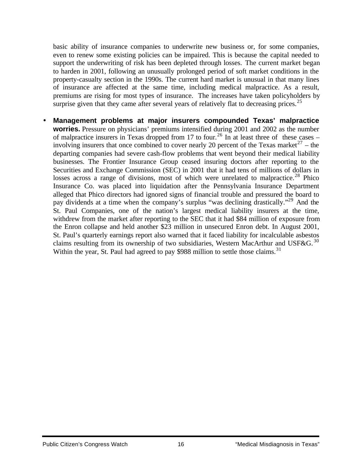basic ability of insurance companies to underwrite new business or, for some companies, even to renew some existing policies can be impaired. This is because the capital needed to support the underwriting of risk has been depleted through losses. The current market began to harden in 2001, following an unusually prolonged period of soft market conditions in the property-casualty section in the 1990s. The current hard market is unusual in that many lines of insurance are affected at the same time, including medical malpractice. As a result, premiums are rising for most types of insurance. The increases have taken policyholders by surprise given that they came after several years of relatively flat to decreasing prices.<sup>25</sup>

• **Management problems at major insurers compounded Texas' malpractice worries.** Pressure on physicians' premiums intensified during 2001 and 2002 as the number of malpractice insurers in Texas dropped from 17 to four.<sup>26</sup> In at least three of these cases – involving insurers that once combined to cover nearly 20 percent of the Texas market<sup>27</sup> – the departing companies had severe cash-flow problems that went beyond their medical liability businesses. The Frontier Insurance Group ceased insuring doctors after reporting to the Securities and Exchange Commission (SEC) in 2001 that it had tens of millions of dollars in losses across a range of divisions, most of which were unrelated to malpractice.<sup>28</sup> Phico Insurance Co. was placed into liquidation after the Pennsylvania Insurance Department alleged that Phico directors had ignored signs of financial trouble and pressured the board to pay dividends at a time when the company's surplus "was declining drastically."<sup>29</sup> And the St. Paul Companies, one of the nation's largest medical liability insurers at the time, withdrew from the market after reporting to the SEC that it had \$84 million of exposure from the Enron collapse and held another \$23 million in unsecured Enron debt. In August 2001, St. Paul's quarterly earnings report also warned that it faced liability for incalculable asbestos claims resulting from its ownership of two subsidiaries, Western MacArthur and USF&G.  $30$ Within the year, St. Paul had agreed to pay \$988 million to settle those claims.<sup>31</sup>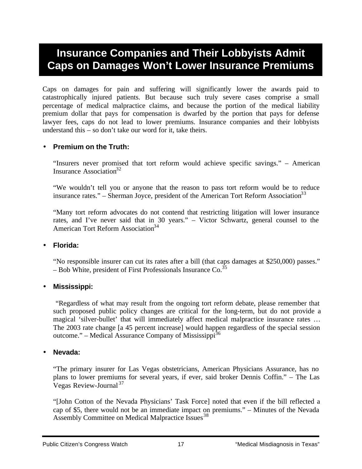## **Insurance Companies and Their Lobbyists Admit Caps on Damages Won't Lower Insurance Premiums**

Caps on damages for pain and suffering will significantly lower the awards paid to catastrophically injured patients. But because such truly severe cases comprise a small percentage of medical malpractice claims, and because the portion of the medical liability premium dollar that pays for compensation is dwarfed by the portion that pays for defense lawyer fees, caps do not lead to lower premiums. Insurance companies and their lobbyists understand this – so don't take our word for it, take theirs.

### • **Premium on the Truth:**

"Insurers never promised that tort reform would achieve specific savings." – American Insurance Association $32$ 

"We wouldn't tell you or anyone that the reason to pass tort reform would be to reduce insurance rates." – Sherman Joyce, president of the American Tort Reform Association<sup>33</sup>

"Many tort reform advocates do not contend that restricting litigation will lower insurance rates, and I've never said that in 30 years." – Victor Schwartz, general counsel to the American Tort Reform Association<sup>34</sup>

#### • **Florida:**

"No responsible insurer can cut its rates after a bill (that caps damages at \$250,000) passes." – Bob White, president of First Professionals Insurance  $Co^{35}$ 

#### • **Mississippi:**

 "Regardless of what may result from the ongoing tort reform debate, please remember that such proposed public policy changes are critical for the long-term, but do not provide a magical 'silver-bullet' that will immediately affect medical malpractice insurance rates … The 2003 rate change [a 45 percent increase] would happen regardless of the special session outcome." – Medical Assurance Company of Mississippi<sup>36</sup>

#### • **Nevada:**

"The primary insurer for Las Vegas obstetricians, American Physicians Assurance, has no plans to lower premiums for several years, if ever, said broker Dennis Coffin." – The Las Vegas Review-Journal <sup>37</sup>

"[John Cotton of the Nevada Physicians' Task Force] noted that even if the bill reflected a cap of \$5, there would not be an immediate impact on premiums." – Minutes of the Nevada Assembly Committee on Medical Malpractice Issues<sup>38</sup>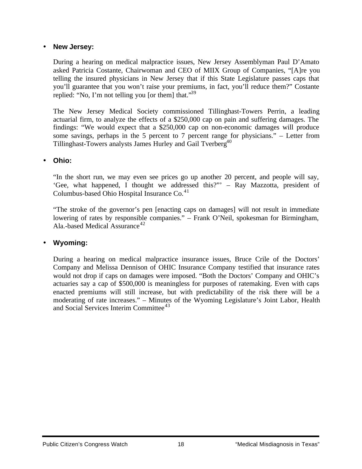#### • **New Jersey:**

During a hearing on medical malpractice issues, New Jersey Assemblyman Paul D'Amato asked Patricia Costante, Chairwoman and CEO of MIIX Group of Companies, "[A]re you telling the insured physicians in New Jersey that if this State Legislature passes caps that you'll guarantee that you won't raise your premiums, in fact, you'll reduce them?" Costante replied: "No, I'm not telling you [or them] that."<sup>39</sup>

The New Jersey Medical Society commissioned Tillinghast-Towers Perrin, a leading actuarial firm, to analyze the effects of a \$250,000 cap on pain and suffering damages. The findings: "We would expect that a \$250,000 cap on non-economic damages will produce some savings, perhaps in the 5 percent to 7 percent range for physicians." – Letter from Tillinghast-Towers analysts James Hurley and Gail Tverberg<sup>40</sup>

#### • **Ohio:**

"In the short run, we may even see prices go up another 20 percent, and people will say, 'Gee, what happened, I thought we addressed this?"' – Ray Mazzotta, president of Columbus-based Ohio Hospital Insurance  $Co<sub>1</sub><sup>41</sup>$ 

"The stroke of the governor's pen [enacting caps on damages] will not result in immediate lowering of rates by responsible companies." – Frank O'Neil, spokesman for Birmingham, Ala.-based Medical Assurance<sup>42</sup>

### • **Wyoming:**

During a hearing on medical malpractice insurance issues, Bruce Crile of the Doctors' Company and Melissa Dennison of OHIC Insurance Company testified that insurance rates would not drop if caps on damages were imposed. "Both the Doctors' Company and OHIC's actuaries say a cap of \$500,000 is meaningless for purposes of ratemaking. Even with caps enacted premiums will still increase, but with predictability of the risk there will be a moderating of rate increases." – Minutes of the Wyoming Legislature's Joint Labor, Health and Social Services Interim Committee<sup>43</sup>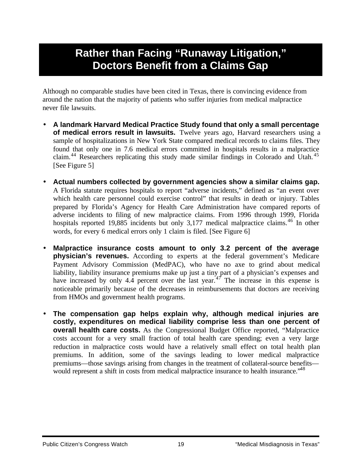## **Rather than Facing "Runaway Litigation," Doctors Benefit from a Claims Gap**

Although no comparable studies have been cited in Texas, there is convincing evidence from around the nation that the majority of patients who suffer injuries from medical malpractice never file lawsuits.

- **A landmark Harvard Medical Practice Study found that only a small percentage of medical errors result in lawsuits.** Twelve years ago, Harvard researchers using a sample of hospitalizations in New York State compared medical records to claims files. They found that only one in 7.6 medical errors committed in hospitals results in a malpractice claim.<sup>44</sup> Researchers replicating this study made similar findings in Colorado and Utah.<sup>45</sup> [See Figure 5]
- **Actual numbers collected by government agencies show a similar claims gap.** A Florida statute requires hospitals to report "adverse incidents," defined as "an event over which health care personnel could exercise control" that results in death or injury. Tables prepared by Florida's Agency for Health Care Administration have compared reports of adverse incidents to filing of new malpractice claims. From 1996 through 1999, Florida hospitals reported 19,885 incidents but only  $3,177$  medical malpractice claims.<sup>46</sup> In other words, for every 6 medical errors only 1 claim is filed. [See Figure 6]
- **Malpractice insurance costs amount to only 3.2 percent of the average physician's revenues.** According to experts at the federal government's Medicare Payment Advisory Commission (MedPAC), who have no axe to grind about medical liability, liability insurance premiums make up just a tiny part of a physician's expenses and have increased by only 4.4 percent over the last year.<sup>47</sup> The increase in this expense is noticeable primarily because of the decreases in reimbursements that doctors are receiving from HMOs and government health programs.
- **The compensation gap helps explain why, although medical injuries are costly, expenditures on medical liability comprise less than one percent of overall health care costs.** As the Congressional Budget Office reported, "Malpractice costs account for a very small fraction of total health care spending; even a very large reduction in malpractice costs would have a relatively small effect on total health plan premiums. In addition, some of the savings leading to lower medical malpractice premiums—those savings arising from changes in the treatment of collateral-source benefits would represent a shift in costs from medical malpractice insurance to health insurance.<sup>48</sup>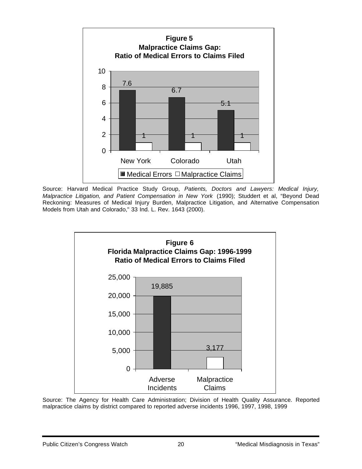

Source: Harvard Medical Practice Study Group, *Patients, Doctors and Lawyers: Medical Injury, Malpractice Litigation, and Patient Compensation in New York* (1990); Studdert et al, "Beyond Dead Reckoning: Measures of Medical Injury Burden, Malpractice Litigation, and Alternative Compensation Models from Utah and Colorado," 33 Ind. L. Rev. 1643 (2000).



Source: The Agency for Health Care Administration; Division of Health Quality Assurance. Reported malpractice claims by district compared to reported adverse incidents 1996, 1997, 1998, 1999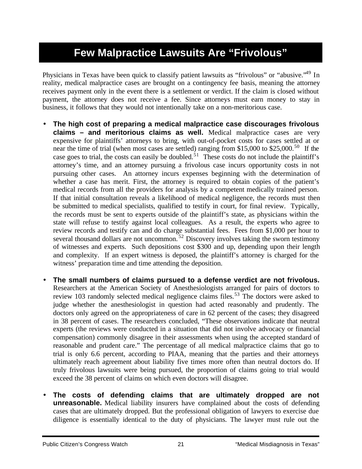## **Few Malpractice Lawsuits Are "Frivolous"**

Physicians in Texas have been quick to classify patient lawsuits as "frivolous" or "abusive."<sup>49</sup> In reality, medical malpractice cases are brought on a contingency fee basis, meaning the attorney receives payment only in the event there is a settlement or verdict. If the claim is closed without payment, the attorney does not receive a fee. Since attorneys must earn money to stay in business, it follows that they would not intentionally take on a non-meritorious case.

- **The high cost of preparing a medical malpractice case discourages frivolous claims – and meritorious claims as well.** Medical malpractice cases are very expensive for plaintiffs' attorneys to bring, with out-of-pocket costs for cases settled at or near the time of trial (when most cases are settled) ranging from \$15,000 to \$25,000.<sup>50</sup> If the case goes to trial, the costs can easily be doubled.<sup>51</sup> These costs do not include the plaintiff's attorney's time, and an attorney pursuing a frivolous case incurs opportunity costs in not pursuing other cases. An attorney incurs expenses beginning with the determination of whether a case has merit. First, the attorney is required to obtain copies of the patient's medical records from all the providers for analysis by a competent medically trained person. If that initial consultation reveals a likelihood of medical negligence, the records must then be submitted to medical specialists, qualified to testify in court, for final review. Typically, the records must be sent to experts outside of the plaintiff's state, as physicians within the state will refuse to testify against local colleagues. As a result, the experts who agree to review records and testify can and do charge substantial fees. Fees from \$1,000 per hour to several thousand dollars are not uncommon.  $52$  Discovery involves taking the sworn testimony of witnesses and experts. Such depositions cost \$300 and up, depending upon their length and complexity. If an expert witness is deposed, the plaintiff's attorney is charged for the witness' preparation time and time attending the deposition.
- **The small numbers of claims pursued to a defense verdict are not frivolous.** Researchers at the American Society of Anesthesiologists arranged for pairs of doctors to review 103 randomly selected medical negligence claims files.<sup>53</sup> The doctors were asked to judge whether the anesthesiologist in question had acted reasonably and prudently. The doctors only agreed on the appropriateness of care in 62 percent of the cases; they disagreed in 38 percent of cases. The researchers concluded, "These observations indicate that neutral experts (the reviews were conducted in a situation that did not involve advocacy or financial compensation) commonly disagree in their assessments when using the accepted standard of reasonable and prudent care." The percentage of all medical malpractice claims that go to trial is only 6.6 percent, according to PIAA, meaning that the parties and their attorneys ultimately reach agreement about liability five times more often than neutral doctors do. If truly frivolous lawsuits were being pursued, the proportion of claims going to trial would exceed the 38 percent of claims on which even doctors will disagree.
- **The costs of defending claims that are ultimately dropped are not unreasonable.** Medical liability insurers have complained about the costs of defending cases that are ultimately dropped. But the professional obligation of lawyers to exercise due diligence is essentially identical to the duty of physicians. The lawyer must rule out the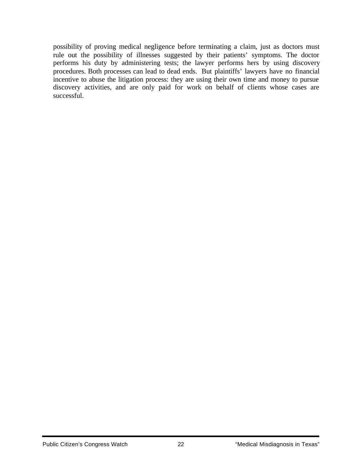possibility of proving medical negligence before terminating a claim, just as doctors must rule out the possibility of illnesses suggested by their patients' symptoms. The doctor performs his duty by administering tests; the lawyer performs hers by using discovery procedures. Both processes can lead to dead ends. But plaintiffs' lawyers have no financial incentive to abuse the litigation process: they are using their own time and money to pursue discovery activities, and are only paid for work on behalf of clients whose cases are successful.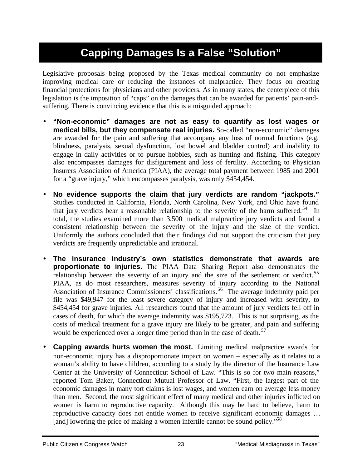## **Capping Damages Is a False "Solution"**

Legislative proposals being proposed by the Texas medical community do not emphasize improving medical care or reducing the instances of malpractice. They focus on creating financial protections for physicians and other providers. As in many states, the centerpiece of this legislation is the imposition of "caps" on the damages that can be awarded for patients' pain-andsuffering. There is convincing evidence that this is a misguided approach:

- **"Non-economic" damages are not as easy to quantify as lost wages or medical bills, but they compensate real injuries.** So-called "non-economic" damages are awarded for the pain and suffering that accompany any loss of normal functions (e.g. blindness, paralysis, sexual dysfunction, lost bowel and bladder control) and inability to engage in daily activities or to pursue hobbies, such as hunting and fishing. This category also encompasses damages for disfigurement and loss of fertility. According to Physician Insurers Association of America (PIAA), the average total payment between 1985 and 2001 for a "grave injury," which encompasses paralysis, was only \$454,454.
- **No evidence supports the claim that jury verdicts are random "jackpots."** Studies conducted in California, Florida, North Carolina, New York, and Ohio have found that jury verdicts bear a reasonable relationship to the severity of the harm suffered.<sup>54</sup> In total, the studies examined more than 3,500 medical malpractice jury verdicts and found a consistent relationship between the severity of the injury and the size of the verdict. Uniformly the authors concluded that their findings did not support the criticism that jury verdicts are frequently unpredictable and irrational.
- **The insurance industry's own statistics demonstrate that awards are proportionate to injuries.** The PIAA Data Sharing Report also demonstrates the relationship between the severity of an injury and the size of the settlement or verdict.<sup>55</sup> PIAA, as do most researchers, measures severity of injury according to the National Association of Insurance Commissioners' classifications.<sup>56</sup> The average indemnity paid per file was \$49,947 for the least severe category of injury and increased with severity, to \$454,454 for grave injuries. All researchers found that the amount of jury verdicts fell off in cases of death, for which the average indemnity was \$195,723. This is not surprising, as the costs of medical treatment for a grave injury are likely to be greater, and pain and suffering would be experienced over a longer time period than in the case of death.<sup>57</sup>
- **Capping awards hurts women the most.** Limiting medical malpractice awards for non-economic injury has a disproportionate impact on women – especially as it relates to a woman's ability to have children, according to a study by the director of the Insurance Law Center at the University of Connecticut School of Law. "This is so for two main reasons," reported Tom Baker, Connecticut Mutual Professor of Law. "First, the largest part of the economic damages in many tort claims is lost wages, and women earn on average less money than men. Second, the most significant effect of many medical and other injuries inflicted on women is harm to reproductive capacity. Although this may be hard to believe, harm to reproductive capacity does not entitle women to receive significant economic damages … [and] lowering the price of making a women infertile cannot be sound policy.<sup>58</sup>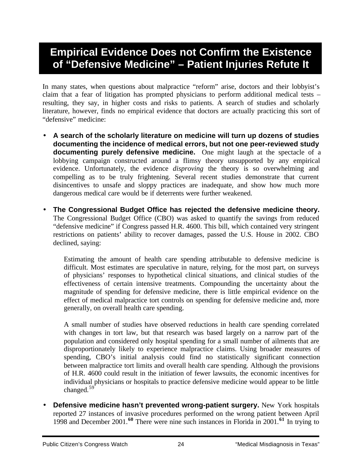## **Empirical Evidence Does not Confirm the Existence of "Defensive Medicine" – Patient Injuries Refute It**

In many states, when questions about malpractice "reform" arise, doctors and their lobbyist's claim that a fear of litigation has prompted physicians to perform additional medical tests – resulting, they say, in higher costs and risks to patients. A search of studies and scholarly literature, however, finds no empirical evidence that doctors are actually practicing this sort of "defensive" medicine:

- **A search of the scholarly literature on medicine will turn up dozens of studies documenting the incidence of medical errors, but not one peer-reviewed study documenting purely defensive medicine.** One might laugh at the spectacle of a lobbying campaign constructed around a flimsy theory unsupported by any empirical evidence. Unfortunately, the evidence *disproving* the theory is so overwhelming and compelling as to be truly frightening. Several recent studies demonstrate that current disincentives to unsafe and sloppy practices are inadequate, and show how much more dangerous medical care would be if deterrents were further weakened.
- **The Congressional Budget Office has rejected the defensive medicine theory.** The Congressional Budget Office (CBO) was asked to quantify the savings from reduced "defensive medicine" if Congress passed H.R. 4600. This bill, which contained very stringent restrictions on patients' ability to recover damages, passed the U.S. House in 2002. CBO declined, saying:

Estimating the amount of health care spending attributable to defensive medicine is difficult. Most estimates are speculative in nature, relying, for the most part, on surveys of physicians' responses to hypothetical clinical situations, and clinical studies of the effectiveness of certain intensive treatments. Compounding the uncertainty about the magnitude of spending for defensive medicine, there is little empirical evidence on the effect of medical malpractice tort controls on spending for defensive medicine and, more generally, on overall health care spending.

A small number of studies have observed reductions in health care spending correlated with changes in tort law, but that research was based largely on a narrow part of the population and considered only hospital spending for a small number of ailments that are disproportionately likely to experience malpractice claims. Using broader measures of spending, CBO's initial analysis could find no statistically significant connection between malpractice tort limits and overall health care spending. Although the provisions of H.R. 4600 could result in the initiation of fewer lawsuits, the economic incentives for individual physicians or hospitals to practice defensive medicine would appear to be little changed.<sup>59</sup>

**Defensive medicine hasn't prevented wrong-patient surgery.** New York hospitals reported 27 instances of invasive procedures performed on the wrong patient between April 1998 and December 2001.**<sup>60</sup>** There were nine such instances in Florida in 2001.**<sup>61</sup>** In trying to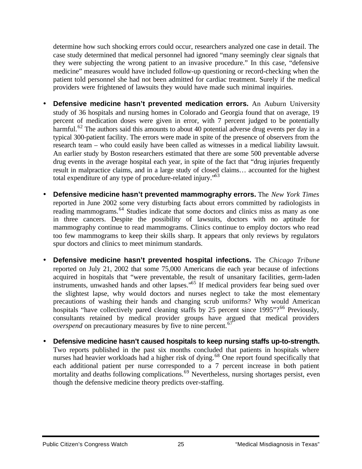determine how such shocking errors could occur, researchers analyzed one case in detail. The case study determined that medical personnel had ignored "many seemingly clear signals that they were subjecting the wrong patient to an invasive procedure." In this case, "defensive medicine" measures would have included follow-up questioning or record-checking when the patient told personnel she had not been admitted for cardiac treatment. Surely if the medical providers were frightened of lawsuits they would have made such minimal inquiries.

- **Defensive medicine hasn't prevented medication errors.** An Auburn University study of 36 hospitals and nursing homes in Colorado and Georgia found that on average, 19 percent of medication doses were given in error, with 7 percent judged to be potentially harmful.<sup>62</sup> The authors said this amounts to about 40 potential adverse drug events per day in a typical 300-patient facility. The errors were made in spite of the presence of observers from the research team – who could easily have been called as witnesses in a medical liability lawsuit. An earlier study by Boston researchers estimated that there are some 500 preventable adverse drug events in the average hospital each year, in spite of the fact that "drug injuries frequently result in malpractice claims, and in a large study of closed claims… accounted for the highest total expenditure of any type of procedure-related injury.<sup>553</sup>
- **Defensive medicine hasn't prevented mammography errors.** The *New York Times* reported in June 2002 some very disturbing facts about errors committed by radiologists in reading mammograms.<sup>64</sup> Studies indicate that some doctors and clinics miss as many as one in three cancers. Despite the possibility of lawsuits, doctors with no aptitude for mammography continue to read mammograms. Clinics continue to employ doctors who read too few mammograms to keep their skills sharp. It appears that only reviews by regulators spur doctors and clinics to meet minimum standards.
- **Defensive medicine hasn't prevented hospital infections.** The *Chicago Tribune* reported on July 21, 2002 that some 75,000 Americans die each year because of infections acquired in hospitals that "were preventable, the result of unsanitary facilities, germ-laden instruments, unwashed hands and other lapses."<sup>65</sup> If medical providers fear being sued over the slightest lapse, why would doctors and nurses neglect to take the most elementary precautions of washing their hands and changing scrub uniforms? Why would American hospitals "have collectively pared cleaning staffs by 25 percent since  $1995"$ ?<sup>66</sup> Previously, consultants retained by medical provider groups have argued that medical providers *overspend* on precautionary measures by five to nine percent.<sup>67</sup>
- **Defensive medicine hasn't caused hospitals to keep nursing staffs up-to-strength.** Two reports published in the past six months concluded that patients in hospitals where nurses had heavier workloads had a higher risk of dying.<sup>68</sup> One report found specifically that each additional patient per nurse corresponded to a 7 percent increase in both patient mortality and deaths following complications.<sup>69</sup> Nevertheless, nursing shortages persist, even though the defensive medicine theory predicts over-staffing.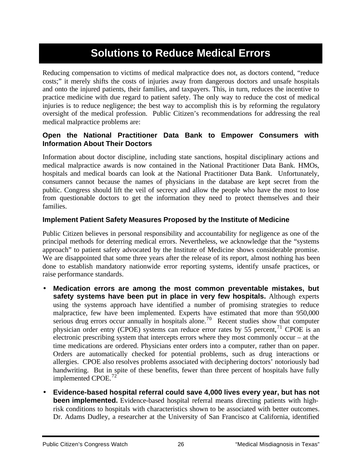## **Solutions to Reduce Medical Errors**

Reducing compensation to victims of medical malpractice does not, as doctors contend, "reduce costs;" it merely shifts the costs of injuries away from dangerous doctors and unsafe hospitals and onto the injured patients, their families, and taxpayers. This, in turn, reduces the incentive to practice medicine with due regard to patient safety. The only way to reduce the cost of medical injuries is to reduce negligence; the best way to accomplish this is by reforming the regulatory oversight of the medical profession. Public Citizen's recommendations for addressing the real medical malpractice problems are:

### **Open the National Practitioner Data Bank to Empower Consumers with Information About Their Doctors**

Information about doctor discipline, including state sanctions, hospital disciplinary actions and medical malpractice awards is now contained in the National Practitioner Data Bank. HMOs, hospitals and medical boards can look at the National Practitioner Data Bank. Unfortunately, consumers cannot because the names of physicians in the database are kept secret from the public. Congress should lift the veil of secrecy and allow the people who have the most to lose from questionable doctors to get the information they need to protect themselves and their families.

### **Implement Patient Safety Measures Proposed by the Institute of Medicine**

Public Citizen believes in personal responsibility and accountability for negligence as one of the principal methods for deterring medical errors. Nevertheless, we acknowledge that the "systems approach" to patient safety advocated by the Institute of Medicine shows considerable promise. We are disappointed that some three years after the release of its report, almost nothing has been done to establish mandatory nationwide error reporting systems, identify unsafe practices, or raise performance standards.

- **Medication errors are among the most common preventable mistakes, but safety systems have been put in place in very few hospitals.** Although experts using the systems approach have identified a number of promising strategies to reduce malpractice, few have been implemented. Experts have estimated that more than 950,000 serious drug errors occur annually in hospitals alone.<sup>70</sup> Recent studies show that computer physician order entry (CPOE) systems can reduce error rates by 55 percent,  $^{71}$  CPOE is an electronic prescribing system that intercepts errors where they most commonly occur – at the time medications are ordered. Physicians enter orders into a computer, rather than on paper. Orders are automatically checked for potential problems, such as drug interactions or allergies. CPOE also resolves problems associated with deciphering doctors' notoriously bad handwriting. But in spite of these benefits, fewer than three percent of hospitals have fully implemented CPOE.<sup>72</sup>
- **Evidence-based hospital referral could save 4,000 lives every year, but has not been implemented.** Evidence-based hospital referral means directing patients with highrisk conditions to hospitals with characteristics shown to be associated with better outcomes. Dr. Adams Dudley, a researcher at the University of San Francisco at California, identified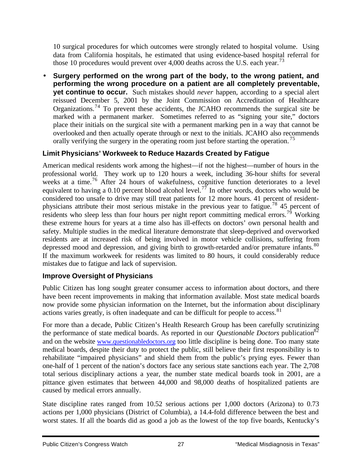10 surgical procedures for which outcomes were strongly related to hospital volume. Using data from California hospitals, he estimated that using evidence-based hospital referral for those 10 procedures would prevent over 4,000 deaths across the U.S. each year.<sup>73</sup>

• **Surgery performed on the wrong part of the body, to the wrong patient, and performing the wrong procedure on a patient are all completely preventable, yet continue to occur.** Such mistakes should *never* happen, according to a special alert reissued December 5, 2001 by the Joint Commission on Accreditation of Healthcare Organizations.<sup>74</sup> To prevent these accidents, the JCAHO recommends the surgical site be marked with a permanent marker. Sometimes referred to as "signing your site," doctors place their initials on the surgical site with a permanent marking pen in a way that cannot be overlooked and then actually operate through or next to the initials. JCAHO also recommends orally verifying the surgery in the operating room just before starting the operation.<sup>75</sup>

### **Limit Physicians' Workweek to Reduce Hazards Created by Fatigue**

American medical residents work among the highest—if not the highest—number of hours in the professional world. They work up to 120 hours a week, including 36-hour shifts for several weeks at a time.<sup>76</sup> After 24 hours of wakefulness, cognitive function deteriorates to a level equivalent to having a 0.10 percent blood alcohol level.<sup>77</sup> In other words, doctors who would be considered too unsafe to drive may still treat patients for 12 more hours. 41 percent of residentphysicians attribute their most serious mistake in the previous year to fatigue.<sup>78</sup> 45 percent of residents who sleep less than four hours per night report committing medical errors.<sup>79</sup> Working these extreme hours for years at a time also has ill-effects on doctors' own personal health and safety. Multiple studies in the medical literature demonstrate that sleep-deprived and overworked residents are at increased risk of being involved in motor vehicle collisions, suffering from depressed mood and depression, and giving birth to growth-retarded and/or premature infants.<sup>80</sup> If the maximum workweek for residents was limited to 80 hours, it could considerably reduce mistakes due to fatigue and lack of supervision.

### **Improve Oversight of Physicians**

Public Citizen has long sought greater consumer access to information about doctors, and there have been recent improvements in making that information available. Most state medical boards now provide some physician information on the Internet, but the information about disciplinary actions varies greatly, is often inadequate and can be difficult for people to access.<sup>81</sup>

For more than a decade, Public Citizen's Health Research Group has been carefully scrutinizing the performance of state medical boards. As reported in our *Questionable Doctors* publication<sup>82</sup> and on the website www.questionabledoctors.org too little discipline is being done. Too many state medical boards, despite their duty to protect the public, still believe their first responsibility is to rehabilitate "impaired physicians" and shield them from the public's prying eyes. Fewer than one-half of 1 percent of the nation's doctors face any serious state sanctions each year. The 2,708 total serious disciplinary actions a year, the number state medical boards took in 2001, are a pittance given estimates that between 44,000 and 98,000 deaths of hospitalized patients are caused by medical errors annually.

State discipline rates ranged from 10.52 serious actions per 1,000 doctors (Arizona) to 0.73 actions per 1,000 physicians (District of Columbia), a 14.4-fold difference between the best and worst states. If all the boards did as good a job as the lowest of the top five boards, Kentucky's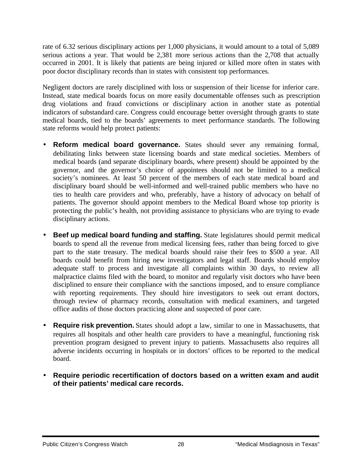rate of 6.32 serious disciplinary actions per 1,000 physicians, it would amount to a total of 5,089 serious actions a year. That would be 2,381 more serious actions than the 2,708 that actually occurred in 2001. It is likely that patients are being injured or killed more often in states with poor doctor disciplinary records than in states with consistent top performances.

Negligent doctors are rarely disciplined with loss or suspension of their license for inferior care. Instead, state medical boards focus on more easily documentable offenses such as prescription drug violations and fraud convictions or disciplinary action in another state as potential indicators of substandard care. Congress could encourage better oversight through grants to state medical boards, tied to the boards' agreements to meet performance standards. The following state reforms would help protect patients:

- **Reform medical board governance.** States should sever any remaining formal, debilitating links between state licensing boards and state medical societies. Members of medical boards (and separate disciplinary boards, where present) should be appointed by the governor, and the governor's choice of appointees should not be limited to a medical society's nominees. At least 50 percent of the members of each state medical board and disciplinary board should be well-informed and well-trained public members who have no ties to health care providers and who, preferably, have a history of advocacy on behalf of patients. The governor should appoint members to the Medical Board whose top priority is protecting the public's health, not providing assistance to physicians who are trying to evade disciplinary actions.
- **Beef up medical board funding and staffing.** State legislatures should permit medical boards to spend all the revenue from medical licensing fees, rather than being forced to give part to the state treasury. The medical boards should raise their fees to \$500 a year. All boards could benefit from hiring new investigators and legal staff. Boards should employ adequate staff to process and investigate all complaints within 30 days, to review all malpractice claims filed with the board, to monitor and regularly visit doctors who have been disciplined to ensure their compliance with the sanctions imposed, and to ensure compliance with reporting requirements. They should hire investigators to seek out errant doctors, through review of pharmacy records, consultation with medical examiners, and targeted office audits of those doctors practicing alone and suspected of poor care.
- **Require risk prevention.** States should adopt a law, similar to one in Massachusetts, that requires all hospitals and other health care providers to have a meaningful, functioning risk prevention program designed to prevent injury to patients. Massachusetts also requires all adverse incidents occurring in hospitals or in doctors' offices to be reported to the medical board.
- **Require periodic recertification of doctors based on a written exam and audit of their patients' medical care records.**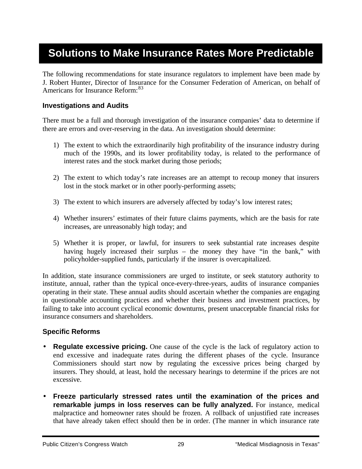## **Solutions to Make Insurance Rates More Predictable**

The following recommendations for state insurance regulators to implement have been made by J. Robert Hunter, Director of Insurance for the Consumer Federation of American, on behalf of Americans for Insurance Reform: <sup>83</sup>

#### **Investigations and Audits**

There must be a full and thorough investigation of the insurance companies' data to determine if there are errors and over-reserving in the data. An investigation should determine:

- 1) The extent to which the extraordinarily high profitability of the insurance industry during much of the 1990s, and its lower profitability today, is related to the performance of interest rates and the stock market during those periods;
- 2) The extent to which today's rate increases are an attempt to recoup money that insurers lost in the stock market or in other poorly-performing assets;
- 3) The extent to which insurers are adversely affected by today's low interest rates;
- 4) Whether insurers' estimates of their future claims payments, which are the basis for rate increases, are unreasonably high today; and
- 5) Whether it is proper, or lawful, for insurers to seek substantial rate increases despite having hugely increased their surplus – the money they have "in the bank," with policyholder-supplied funds, particularly if the insurer is overcapitalized.

In addition, state insurance commissioners are urged to institute, or seek statutory authority to institute, annual, rather than the typical once-every-three-years, audits of insurance companies operating in their state. These annual audits should ascertain whether the companies are engaging in questionable accounting practices and whether their business and investment practices, by failing to take into account cyclical economic downturns, present unacceptable financial risks for insurance consumers and shareholders.

### **Specific Reforms**

- **Regulate excessive pricing.** One cause of the cycle is the lack of regulatory action to end excessive and inadequate rates during the different phases of the cycle. Insurance Commissioners should start now by regulating the excessive prices being charged by insurers. They should, at least, hold the necessary hearings to determine if the prices are not excessive.
- **Freeze particularly stressed rates until the examination of the prices and remarkable jumps in loss reserves can be fully analyzed.** For instance, medical malpractice and homeowner rates should be frozen. A rollback of unjustified rate increases that have already taken effect should then be in order. (The manner in which insurance rate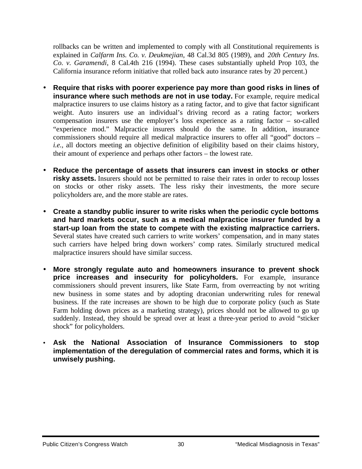rollbacks can be written and implemented to comply with all Constitutional requirements is explained in *Calfarm Ins. Co. v. Deukmejian*, 48 Cal.3d 805 (1989), and *20th Century Ins. Co. v. Garamendi*, 8 Cal.4th 216 (1994). These cases substantially upheld Prop 103, the California insurance reform initiative that rolled back auto insurance rates by 20 percent.)

- **Require that risks with poorer experience pay more than good risks in lines of insurance where such methods are not in use today.** For example, require medical malpractice insurers to use claims history as a rating factor, and to give that factor significant weight. Auto insurers use an individual's driving record as a rating factor; workers compensation insurers use the employer's loss experience as a rating factor – so-called "experience mod." Malpractice insurers should do the same. In addition, insurance commissioners should require all medical malpractice insurers to offer all "good" doctors – *i.e.,* all doctors meeting an objective definition of eligibility based on their claims history, their amount of experience and perhaps other factors – the lowest rate.
- **Reduce the percentage of assets that insurers can invest in stocks or other** risky assets. Insurers should not be permitted to raise their rates in order to recoup losses on stocks or other risky assets. The less risky their investments, the more secure policyholders are, and the more stable are rates.
- **Create a standby public insurer to write risks when the periodic cycle bottoms and hard markets occur, such as a medical malpractice insurer funded by a start-up loan from the state to compete with the existing malpractice carriers.** Several states have created such carriers to write workers' compensation, and in many states such carriers have helped bring down workers' comp rates. Similarly structured medical malpractice insurers should have similar success.
- **More strongly regulate auto and homeowners insurance to prevent shock price increases and insecurity for policyholders.** For example, insurance commissioners should prevent insurers, like State Farm, from overreacting by not writing new business in some states and by adopting draconian underwriting rules for renewal business. If the rate increases are shown to be high due to corporate policy (such as State Farm holding down prices as a marketing strategy), prices should not be allowed to go up suddenly. Instead, they should be spread over at least a three-year period to avoid "sticker shock" for policyholders.
- **Ask the National Association of Insurance Commissioners to stop implementation of the deregulation of commercial rates and forms, which it is unwisely pushing.**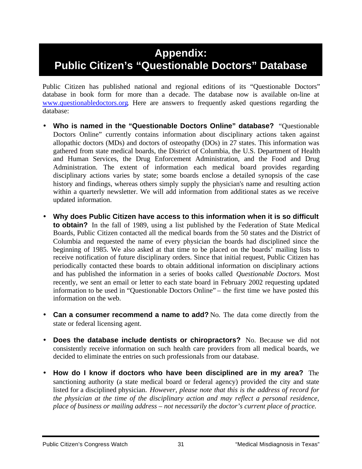## **Appendix: Public Citizen's "Questionable Doctors" Database**

Public Citizen has published national and regional editions of its "Questionable Doctors" database in book form for more than a decade. The database now is available on-line at www.questionabledoctors.org. Here are answers to frequently asked questions regarding the database:

- **Who is named in the "Questionable Doctors Online" database?** "Questionable Doctors Online" currently contains information about disciplinary actions taken against allopathic doctors (MDs) and doctors of osteopathy (DOs) in 27 states. This information was gathered from state medical boards, the District of Columbia, the U.S. Department of Health and Human Services, the Drug Enforcement Administration, and the Food and Drug Administration. The extent of information each medical board provides regarding disciplinary actions varies by state; some boards enclose a detailed synopsis of the case history and findings, whereas others simply supply the physician's name and resulting action within a quarterly newsletter. We will add information from additional states as we receive updated information.
- **Why does Public Citizen have access to this information when it is so difficult to obtain?** In the fall of 1989, using a list published by the Federation of State Medical Boards, Public Citizen contacted all the medical boards from the 50 states and the District of Columbia and requested the name of every physician the boards had disciplined since the beginning of 1985. We also asked at that time to be placed on the boards' mailing lists to receive notification of future disciplinary orders. Since that initial request, Public Citizen has periodically contacted these boards to obtain additional information on disciplinary actions and has published the information in a series of books called *Questionable Doctors.* Most recently, we sent an email or letter to each state board in February 2002 requesting updated information to be used in "Questionable Doctors Online" – the first time we have posted this information on the web.
- **Can a consumer recommend a name to add?** No. The data come directly from the state or federal licensing agent.
- **Does the database include dentists or chiropractors?** No. Because we did not consistently receive information on such health care providers from all medical boards, we decided to eliminate the entries on such professionals from our database.
- **How do I know if doctors who have been disciplined are in my area?** The sanctioning authority (a state medical board or federal agency) provided the city and state listed for a disciplined physician. *However, please note that this is the address of record for the physician at the time of the disciplinary action and may reflect a personal residence, place of business or mailing address – not necessarily the doctor's current place of practice.*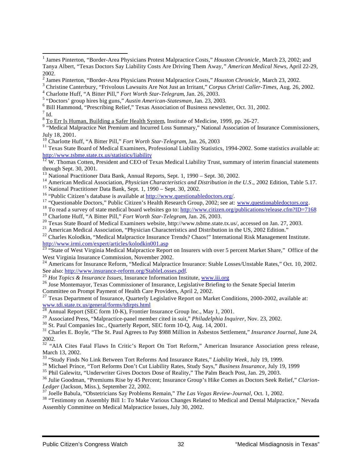$^7$  Id.

<sup>9</sup> "Medical Malpractice Net Premium and Incurred Loss Summary," National Association of Insurance Commissioners, July 18, 2001.

<sup>11</sup> Texas State Board of Medical Examiners, Professional Liability Statistics, 1994-2002. Some statistics available at: http://www.tsbme.state.tx.us/statistics/liability

 $12$  W. Thomas Cotten, President and CEO of Texas Medical Liability Trust, summary of interim financial statements through Sept. 30, 2001.

<sup>14</sup> American Medical Association, *Physician Characteristics and Distribution in the U.S*., 2002 Edition, Table 5.17.

<sup>15</sup> National Practitioner Data Bank, Sept. 1, 1990 – Sept. 30, 2002.

<sup>16</sup> "Public Citizen's database is available at http://www.questionabledoctors.org/*.*

<sup>17</sup> "Questionable Doctors," Public Citizen's Health Research Group, 2002; see at: www.questionabledoctors.org.

<sup>18</sup> To read a survey of state medical board websites go to: http://www.citizen.org/publications/release.cfm?ID=7168

<sup>19</sup> Charlotte Huff, "A Bitter Pill," *Fort Worth Star-Telegram*, Jan. 26, 2003.

<sup>20</sup> Texas State Board of Medical Examiners website, http://www.tsbme.state.tx.us/, accessed on Jan. 27, 2003.

<sup>21</sup> American Medical Association, "Physician Characteristics and Distribution in the US, 2002 Edition."

<sup>22</sup> Charles Kolodkin, "Medical Malpractice Insurance Trends? Chaos!" International Risk Management Institute. http://www.irmi.com/expert/articles/kolodkin001.asp

<sup>23 "</sup>State of West Virginia Medical Malpractice Report on Insurers with over 5 percent Market Share," Office of the West Virginia Insurance Commission, November 2002.

<sup>24</sup> Americans for Insurance Reform, "Medical Malpractice Insurance: Stable Losses/Unstable Rates," Oct. 10, 2002. See also: http://www.insurance-reform.org/StableLosses.pdf.

<sup>25</sup> *Hot Topics & Insurance Issues*, Insurance Information Institute, www.iii.org

<sup>26</sup> Jose Montemayor, Texas Commissioner of Insurance, Legislative Briefing to the Senate Special Interim Committee on Prompt Payment of Health Care Providers, April 2, 2002.

<sup>27</sup> Texas Department of Insurance, Quarterly Legislative Report on Market Conditions, 2000-2002, available at: www.tdi.state.tx.us/general/forms/tdirpts.html

<sup>28</sup> Annual Report (SEC form 10-K), Frontier Insurance Group Inc., May 1, 2001.

<sup>29</sup> Associated Press, "Malpractice-panel member cited in suit," *Philadelphia Inquirer,* Nov. 23, 2002.

<sup>30</sup> St. Paul Companies Inc., Quarterly Report, SEC form 10-Q, Aug. 14, 2001.

<sup>31</sup> Charles E. Boyle, "The St. Paul Agrees to Pay \$988 Million in Asbestos Settlement," *Insurance Journal*, June 24, 2002.

<sup>32</sup> "AIA Cites Fatal Flaws In Critic's Report On Tort Reform," American Insurance Association press release, March 13, 2002.

<sup>33</sup> "Study Finds No Link Between Tort Reforms And Insurance Rates," *Liability Week*, July 19, 1999.

<sup>34</sup> Michael Prince, "Tort Reforms Don't Cut Liability Rates, Study Says," *Business Insurance*, July 19, 1999

<sup>35</sup> Phil Galewitz, "Underwriter Gives Doctors Dose of Reality," The Palm Beach Post, Jan. 29, 2003.

<sup>36</sup> Julie Goodman, "Premiums Rise by 45 Percent; Insurance Group's Hike Comes as Doctors Seek Relief," *Clarion-Ledger* (Jackson, Miss.), September 22, 2002.

<sup>37</sup> Joelle Babula, "Obstetricians Say Problems Remain," *The Las Vegas Review-Journal*, Oct. 1, 2002.

<sup>38</sup> "Testimony on Assembly Bill 1: To Make Various Changes Related to Medical and Dental Malpractice," Nevada Assembly Committee on Medical Malpractice Issues, July 30, 2002.

 1 James Pinterton, "Border-Area Physicians Protest Malpractice Costs," *Houston Chronicle*, March 23, 2002; and Tanya Albert, "Texas Doctors Say Liability Costs Are Driving Them Away*," American Medical News*, April 22-29, 2002.

<sup>2</sup> James Pinterton, "Border-Area Physicians Protest Malpractice Costs," *Houston Chronicle*, March 23, 2002.

<sup>3</sup> Christine Canterbury, "Frivolous Lawsuits Are Not Just an Irritant," *Corpus Christi Caller-Times*, Aug. 26, 2002.

<sup>4</sup> Charlotte Huff, "A Bitter Pill," *Fort Worth Star-Telegram*, Jan. 26, 2003.

<sup>5</sup> "Doctors' group hires big guns," *Austin American-Statesman,* Jan. 23, 2003.

<sup>6</sup> Bill Hammond, "Prescribing Relief," Texas Association of Business newsletter, Oct. 31, 2002.

<sup>&</sup>lt;sup>8</sup> To Err Is Human, Building a Safer Health System, Institute of Medicine, 1999, pp. 26-27.

<sup>10</sup> Charlotte Huff, "A Bitter Pill," *Fort Worth Star-Telegram*, Jan. 26, 2003

<sup>&</sup>lt;sup>13</sup> National Practitioner Data Bank, Annual Reports, Sept. 1, 1990 – Sept. 30, 2002.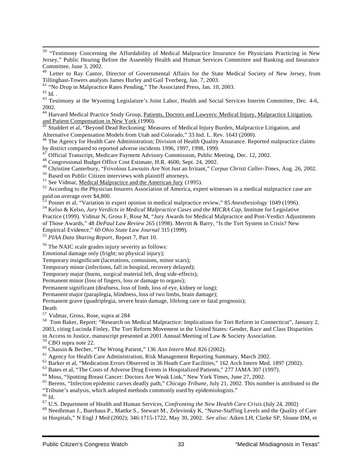<sup>39</sup> "Testimony Concerning the Affordability of Medical Malpractice Insurance for Physicians Practicing in New Jersey," Public Hearing Before the Assembly Health and Human Services Committee and Banking and Insurance Committee, June 3, 2002.

<sup>40</sup> Letter to Ray Cantor, Director of Governmental Affairs for the State Medical Society of New Jersey, from Tillinghast-Towers analysts James Hurley and Gail Tverberg, Jan. 7, 2003.

<sup>41</sup> "No Drop in Malpractice Rates Pending," The Associated Press, Jan. 10, 2003.

 $^{42}$  Id. .

l

<sup>43</sup> Testimony at the Wyoming Legislature's Joint Labor, Health and Social Services Interim Committee, Dec. 4-6, 2002.

<sup>44</sup> Harvard Medical Practice Study Group, Patients, Doctors and Lawyers: Medical Injury, Malpractice Litigation, and Patient Compensation in New York (1990).

<sup>45</sup> Studdert et al, "Beyond Dead Reckoning: Measures of Medical Injury Burden, Malpractice Litigation, and Alternative Compensation Models from Utah and Colorado," 33 Ind. L. Rev. 1643 (2000).

<sup>46</sup> The Agency for Health Care Administration; Division of Health Quality Assurance. Reported malpractice claims by district compared to reported adverse incidents 1996, 1997, 1998, 1999.

47 Official Transcript, Medicare Payment Advisory Commission, Public Meeting, Dec. 12, 2002.

<sup>48</sup> Congressional Budget Office Cost Estimate, H.R. 4600, Sept. 24, 2002.

<sup>49</sup> Christine Canterbury, "Frivolous Lawsuits Are Not Just an Irritant," *Corpus Christi Caller-Times*, Aug. 26, 2002.

<sup>50</sup> Based on Public Citizen interviews with plaintiff attorneys.

<sup>51</sup> See Vidmar, <u>Medical Malpractice and the American Jury</u> (1995).

<sup>52</sup> According to the Physician Insurers Association of America, expert witnesses in a medical malpractice case are paid on average over \$4,800.

<sup>53</sup> Posner et al, "Variation in expert opinion in medical malpractice review," 85 *Anesthesiology* 1049 (1996).

<sup>54</sup> Kelso & Kelso*, Jury Verdicts in Medical Malpractice Cases and the MICRA Cap*, Institute for Legislative Practice (1999). Vidmar N, Gross F, Rose M, "Jury Awards for Medical Malpractice and Post-Verdict Adjustments of Those Awards," 48 *DePaul Law Review* 265 (1998). Merritt & Barry, "Is the Tort System in Crisis? New Empirical Evidence," 60 *Ohio State Law Journal* 315 (1999).

<sup>55</sup> *PIAA Data Sharing Report*, Report 7, Part 10.

<sup>56</sup> The NAIC scale grades injury severity as follows:

Emotional damage only (fright; no physical injury);

Temporary insignificant (lacerations, contusions, minor scars);

Temporary minor (infections, fall in hospital, recovery delayed);

Temporary major (burns, surgical material left, drug side-effects);

Permanent minor (loss of fingers, loss or damage to organs);

Permanent significant (deafness, loss of limb, loss of eye, kidney or lung);

Permanent major (paraplegia, blindness, loss of two limbs, brain damage);

Permanent grave (quadriplegia, severe brain damage, lifelong care or fatal prognosis);

Death

<sup>57</sup> Vidmar, Gross, Rose, supra at 284

<sup>58</sup> Tom Baker, Report: "Research on Medical Malpractice: Implications for Tort Reform in Connecticut", January 2, 2003, citing Lucinda Finley, The Tort Reform Movement in the United States: Gender, Race and Class Disparities

in Access to Justice, manuscript presented at 2001 Annual Meeting of Law & Society Association.

<sup>59</sup> CBO supra note 22.

<sup>60</sup> Chassin & Becher, "The Wrong Patient," 136 *Ann Intern Med.* 826 (2002).

<sup>61</sup> Agency for Health Care Administration, Risk Management Reporting Summary, March 2002.

<sup>62</sup> Barker et al, "Medication Errors Observed in 36 Heath Care Facilities," 162 Arch Intern Med. 1897 (2002).

<sup>63</sup> Bates et al, "The Costs of Adverse Drug Events in Hospitalized Patients," 277 JAMA 307 (1997).

<sup>64</sup> Moss, "Spotting Breast Cancer: Doctors Are Weak Link," New York Times, June 27, 2002.

<sup>65</sup> Berens, "Infection epidemic carves deadly path," *Chicago Tribune*, July 21, 2002. This number is attributed to the "Tribune's analysis, which adopted methods commonly used by epidemiologists."

 $^{66}$  Id.

<sup>67</sup> U.S. Department of Health and Human Services, *Confronting the New Health Care Crisis* (July 24, 2002)

<sup>68</sup> Needleman J., Buerhaus P., Mattke S., Stewart M., Zelevinsky K, "Nurse-Staffing Levels and the Quality of Care in Hospitals," N Engl J Med (2002); 346:1715-1722, May 30, 2002. *See also:* Aiken LH, Clarke SP, Sloane DM, et